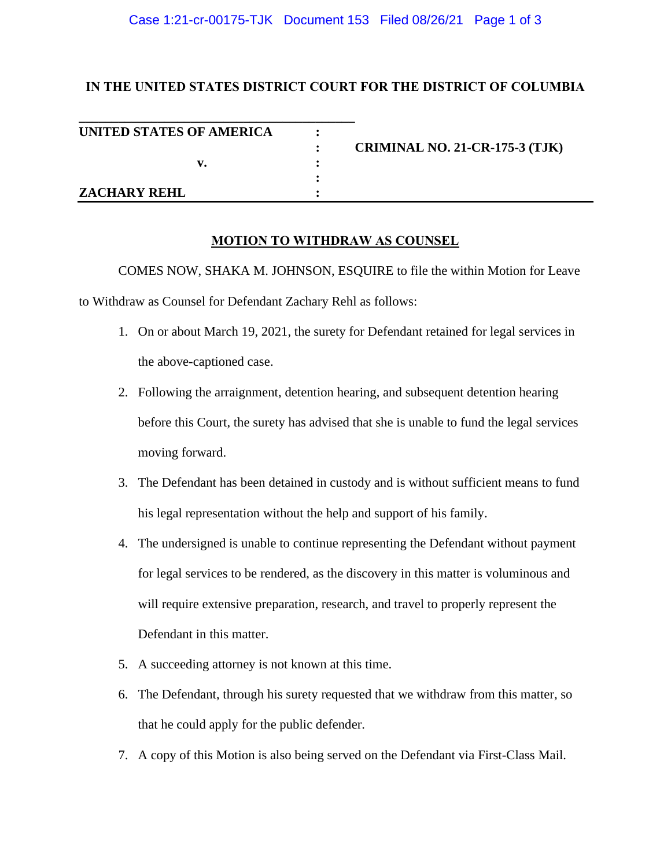### Case 1:21-cr-00175-TJK Document 153 Filed 08/26/21 Page 1 of 3

# **IN THE UNITED STATES DISTRICT COURT FOR THE DISTRICT OF COLUMBIA**

| UNITED STATES OF AMERICA |                                       |
|--------------------------|---------------------------------------|
|                          | <b>CRIMINAL NO. 21-CR-175-3 (TJK)</b> |
| v.                       |                                       |
|                          |                                       |
| <b>ZACHARY REHL</b>      |                                       |

## **MOTION TO WITHDRAW AS COUNSEL**

COMES NOW, SHAKA M. JOHNSON, ESQUIRE to file the within Motion for Leave to Withdraw as Counsel for Defendant Zachary Rehl as follows:

- 1. On or about March 19, 2021, the surety for Defendant retained for legal services in the above-captioned case.
- 2. Following the arraignment, detention hearing, and subsequent detention hearing before this Court, the surety has advised that she is unable to fund the legal services moving forward.
- 3. The Defendant has been detained in custody and is without sufficient means to fund his legal representation without the help and support of his family.
- 4. The undersigned is unable to continue representing the Defendant without payment for legal services to be rendered, as the discovery in this matter is voluminous and will require extensive preparation, research, and travel to properly represent the Defendant in this matter.
- 5. A succeeding attorney is not known at this time.
- 6. The Defendant, through his surety requested that we withdraw from this matter, so that he could apply for the public defender.
- 7. A copy of this Motion is also being served on the Defendant via First-Class Mail.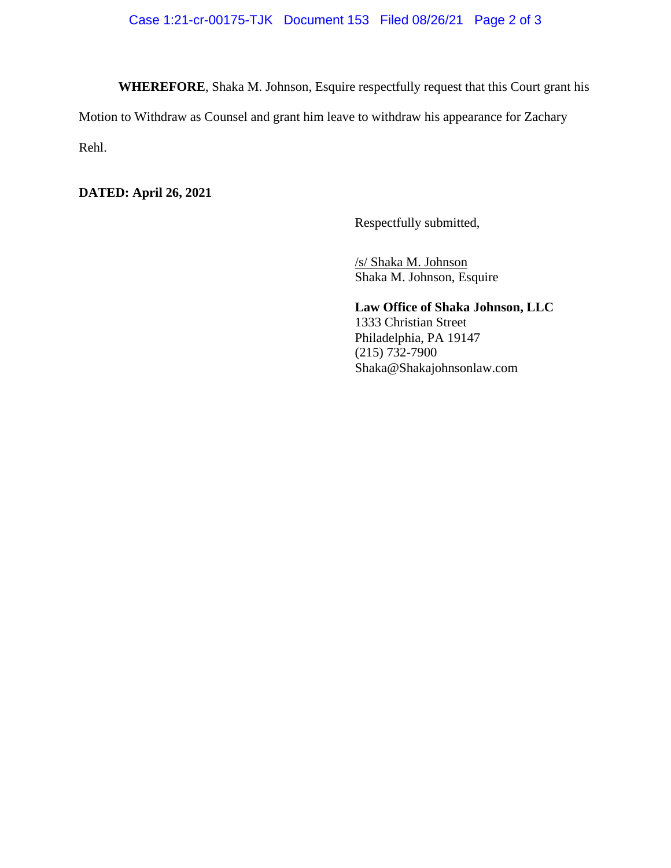**WHEREFORE**, Shaka M. Johnson, Esquire respectfully request that this Court grant his

Motion to Withdraw as Counsel and grant him leave to withdraw his appearance for Zachary

Rehl.

**DATED: April 26, 2021**

Respectfully submitted,

/s/ Shaka M. Johnson Shaka M. Johnson, Esquire

**Law Office of Shaka Johnson, LLC** 1333 Christian Street Philadelphia, PA 19147  $(215) 732 - 7900$ Shaka@Shakajohnsonlaw.com